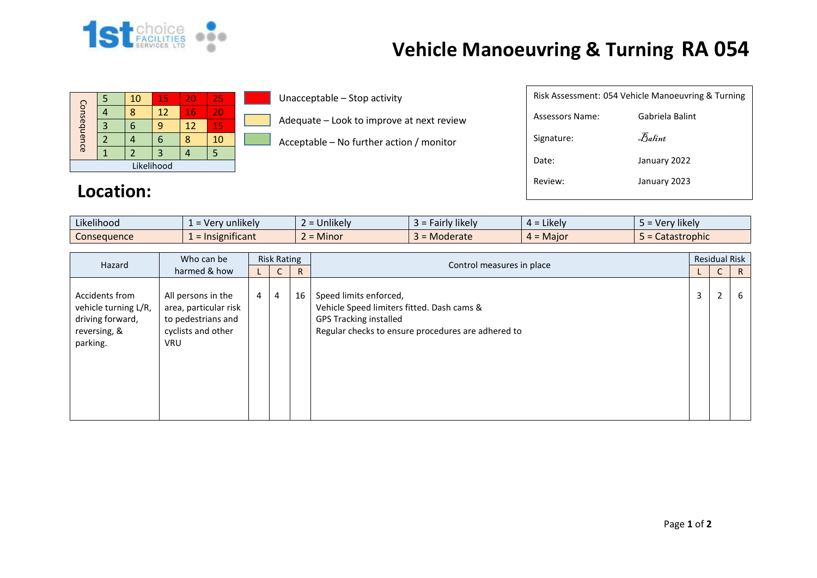

## **Vehicle Manoeuvring & Turning RA 054**

| Consequence |  | 10 | 15 | 20 | 25 |  |  |
|-------------|--|----|----|----|----|--|--|
|             |  | ጸ  | 12 | 16 | 20 |  |  |
|             |  |    |    | 12 | 15 |  |  |
|             |  |    |    |    | 10 |  |  |
|             |  |    |    |    |    |  |  |
| Likelihood  |  |    |    |    |    |  |  |

Unacceptable – Stop activity

Adequate – Look to improve at next review

Acceptable – No further action / monitor

|                 | Risk Assessment: 054 Vehicle Manoeuvring & Turning |  |  |  |  |  |  |  |  |  |
|-----------------|----------------------------------------------------|--|--|--|--|--|--|--|--|--|
| Assessors Name: | Gabriela Balint                                    |  |  |  |  |  |  |  |  |  |
| Signature:      | $\mathcal{F}_{\mathit{abint}}$                     |  |  |  |  |  |  |  |  |  |
| Date:           | January 2022                                       |  |  |  |  |  |  |  |  |  |
| Review:         | January 2023                                       |  |  |  |  |  |  |  |  |  |
|                 |                                                    |  |  |  |  |  |  |  |  |  |

## **Location:**

| $\cdots$<br>$\cdots$<br>Likelihood | $\blacksquare$<br>unlikely<br>$- Ver$<br>-- | $\cdots$<br><b>Jnlikely</b> | <b><i>Fairly likely</i></b><br>-35 | .<br>$=$ Likely<br>≖ ∸ | $\cdots$<br><b>Hikely</b><br>ver |
|------------------------------------|---------------------------------------------|-----------------------------|------------------------------------|------------------------|----------------------------------|
| Consequence                        | nsignificant<br>$=$ Ir                      | <b>Minor</b>                | Moderate                           | $=$ Major<br>$\mu =$   | <b>Catastrophic</b>              |

| Who can be<br>Hazard<br>harmed & how                                                   | <b>Risk Rating</b>                                                                                    |                |                |                           |                                                                                                                                                             | <b>Residual Risk</b> |                |   |
|----------------------------------------------------------------------------------------|-------------------------------------------------------------------------------------------------------|----------------|----------------|---------------------------|-------------------------------------------------------------------------------------------------------------------------------------------------------------|----------------------|----------------|---|
|                                                                                        |                                                                                                       | U              | $\mathsf{R}$   | Control measures in place |                                                                                                                                                             | U                    | R              |   |
| Accidents from<br>vehicle turning L/R,<br>driving forward,<br>reversing, &<br>parking. | All persons in the<br>area, particular risk<br>to pedestrians and<br>cyclists and other<br><b>VRU</b> | $\overline{4}$ | $\overline{4}$ | 16                        | Speed limits enforced,<br>Vehicle Speed limiters fitted. Dash cams &<br><b>GPS Tracking installed</b><br>Regular checks to ensure procedures are adhered to | 3                    | $\overline{2}$ | 6 |